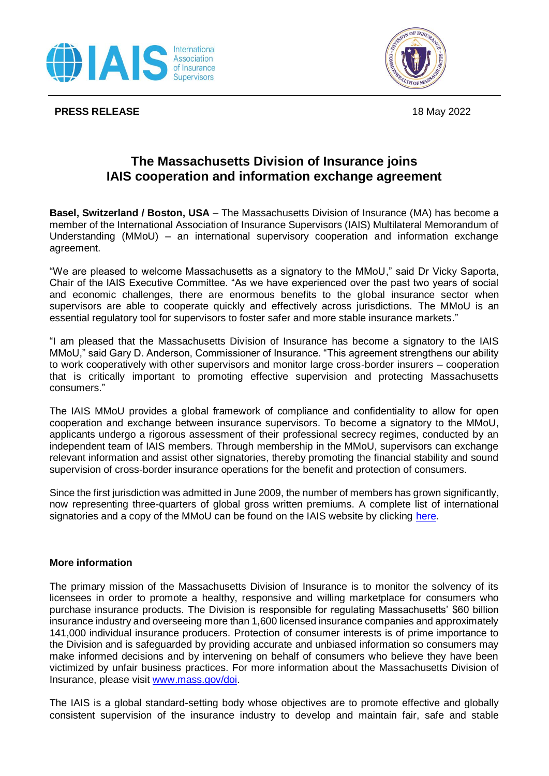

**PRESS RELEASE** 18 May 2022



## **The Massachusetts Division of Insurance joins IAIS cooperation and information exchange agreement**

**Basel, Switzerland / Boston, USA** – The Massachusetts Division of Insurance (MA) has become a member of the International Association of Insurance Supervisors (IAIS) Multilateral Memorandum of Understanding (MMoU) – an international supervisory cooperation and information exchange agreement.

"We are pleased to welcome Massachusetts as a signatory to the MMoU," said Dr Vicky Saporta, Chair of the IAIS Executive Committee. "As we have experienced over the past two years of social and economic challenges, there are enormous benefits to the global insurance sector when supervisors are able to cooperate quickly and effectively across jurisdictions. The MMoU is an essential regulatory tool for supervisors to foster safer and more stable insurance markets."

"I am pleased that the Massachusetts Division of Insurance has become a signatory to the IAIS MMoU," said Gary D. Anderson, Commissioner of Insurance. "This agreement strengthens our ability to work cooperatively with other supervisors and monitor large cross-border insurers – cooperation that is critically important to promoting effective supervision and protecting Massachusetts consumers."

The IAIS MMoU provides a global framework of compliance and confidentiality to allow for open cooperation and exchange between insurance supervisors. To become a signatory to the MMoU, applicants undergo a rigorous assessment of their professional secrecy regimes, conducted by an independent team of IAIS members. Through membership in the MMoU, supervisors can exchange relevant information and assist other signatories, thereby promoting the financial stability and sound supervision of cross-border insurance operations for the benefit and protection of consumers.

Since the first jurisdiction was admitted in June 2009, the number of members has grown significantly, now representing three-quarters of global gross written premiums. A complete list of international signatories and a copy of the MMoU can be found on the IAIS website by clicking [here.](https://www.iaisweb.org/about-the-iais/mmou/)

## **More information**

The primary mission of the Massachusetts Division of Insurance is to monitor the solvency of its licensees in order to promote a healthy, responsive and willing marketplace for consumers who purchase insurance products. The Division is responsible for regulating Massachusetts' \$60 billion insurance industry and overseeing more than 1,600 licensed insurance companies and approximately 141,000 individual insurance producers. Protection of consumer interests is of prime importance to the Division and is safeguarded by providing accurate and unbiased information so consumers may make informed decisions and by intervening on behalf of consumers who believe they have been victimized by unfair business practices. For more information about the Massachusetts Division of Insurance, please visit [www.mass.gov/doi.](http://www.mass.gov/doi)

The IAIS is a global standard-setting body whose objectives are to promote effective and globally consistent supervision of the insurance industry to develop and maintain fair, safe and stable